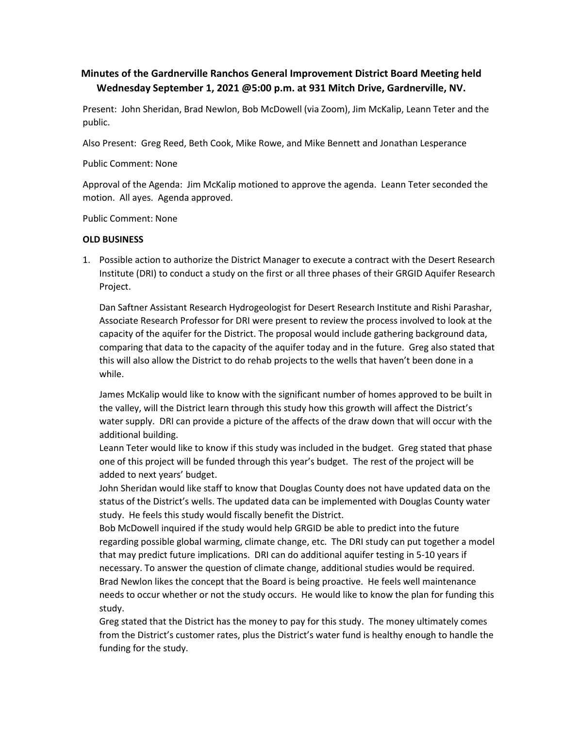# **Minutes of the Gardnerville Ranchos General Improvement District Board Meeting held Wednesday September 1, 2021 @5:00 p.m. at 931 Mitch Drive, Gardnerville, NV.**

Present: John Sheridan, Brad Newlon, Bob McDowell (via Zoom), Jim McKalip, Leann Teter and the public.

Also Present: Greg Reed, Beth Cook, Mike Rowe, and Mike Bennett and Jonathan Lesperance

Public Comment: None

Approval of the Agenda: Jim McKalip motioned to approve the agenda. Leann Teter seconded the motion. All ayes. Agenda approved.<br>Public Comment: None

#### **OLD BUSINESS**

1. Possible action to authorize the District Manager to execute a contract with the Desert Research Institute (DRI) to conduct a study on the first or all three phases of their GRGID Aquifer Research Project.

Dan Saftner Assistant Research Hydrogeologist for Desert Research Institute and Rishi Parashar, Associate Research Professor for DRI were present to review the process involved to look at the capacity of the aquifer for the District. The proposal would include gathering background data, comparing that data to the capacity of the aquifer today and in the future. Greg also stated that this will also allow the District to do rehab projects to the wells that haven't been done in a while.

James McKalip would like to know with the significant number of homes approved to be built in the valley, will the District learn through this study how this growth will affect the District's water supply. DRI can provide a picture of the affects of the draw down that will occur with the additional building.

Leann Teter would like to know if this study was included in the budget. Greg stated that phase one of this project will be funded through this year's budget. The rest of the project will be added to next years' budget.

John Sheridan would like staff to know that Douglas County does not have updated data on the status of the District's wells. The updated data can be implemented with Douglas County water study. He feels this study would fiscally benefit the District.

Bob McDowell inquired if the study would help GRGID be able to predict into the future regarding possible global warming, climate change, etc. The DRI study can put together a model that may predict future implications. DRI can do additional aquifer testing in 5-10 years if necessary. To answer the question of climate change, additional studies would be required.<br>Brad Newlon likes the concept that the Board is being proactive. He feels well maintenance needs to occur whether or not the study occurs. He would like to know the plan for funding this study.

Greg stated that the District has the money to pay for this study. The money ultimately comes from the District's customer rates, plus the District's water fund is healthy enough to handle the funding for the study.